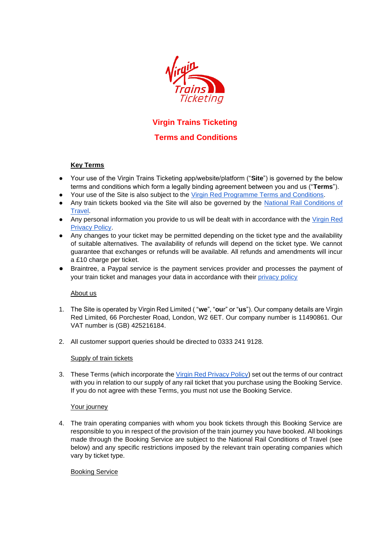

# **Virgin Trains Ticketing**

# **Terms and Conditions**

# **Key Terms**

- Your use of the Virgin Trains Ticketing app/website/platform ("**Site**") is governed by the below terms and conditions which form a legally binding agreement between you and us ("**Terms**").
- Your use of the Site is also subject to the [Virgin Red Programme](https://www.virgin.com/virgin-red/terms-and-conditions) Terms and Conditions.
- Any train tickets booked via the Site will also be governed by the National Rail Conditions of [Travel.](https://www.nationalrail.co.uk/National%20Rail%20Conditions%20of%20Travel.pdf)
- Any personal information you provide to us will be dealt with in accordance with the [Virgin Red](https://www.virgin.com/virgin-red/privacy-policy)  [Privacy Policy.](https://www.virgin.com/virgin-red/privacy-policy)
- Any changes to your ticket may be permitted depending on the ticket type and the availability of suitable alternatives. The availability of refunds will depend on the ticket type. We cannot guarantee that exchanges or refunds will be available. All refunds and amendments will incur a £10 charge per ticket.
- Braintree, a Paypal service is the payment services provider and processes the payment of your train ticket and manages your data in accordance with their [privacy policy](https://www.braintreepayments.com/gb/legal/braintree-privacy-policy)

# About us

- 1. The Site is operated by Virgin Red Limited ( "**we**", "**ou**r" or "**us**"). Our company details are Virgin Red Limited, 66 Porchester Road, London, W2 6ET. Our company number is 11490861. Our VAT number is (GB) 425216184.
- 2. All customer support queries should be directed to 0333 241 9128.

# Supply of train tickets

3. These Terms (which incorporate th[e Virgin Red Privacy Policy\)](https://www.virgin.com/virgin-red/privacy-policy) set out the terms of our contract with you in relation to our supply of any rail ticket that you purchase using the Booking Service. If you do not agree with these Terms, you must not use the Booking Service.

# Your journey

4. The train operating companies with whom you book tickets through this Booking Service are responsible to you in respect of the provision of the train journey you have booked. All bookings made through the Booking Service are subject to the National Rail Conditions of Travel (see below) and any specific restrictions imposed by the relevant train operating companies which vary by ticket type.

# Booking Service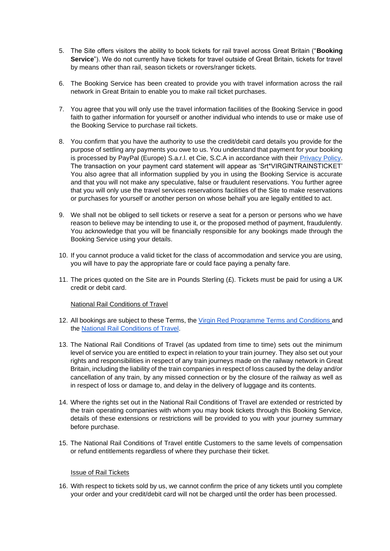- 5. The Site offers visitors the ability to book tickets for rail travel across Great Britain ("**Booking Service**"). We do not currently have tickets for travel outside of Great Britain, tickets for travel by means other than rail, season tickets or rovers/ranger tickets.
- 6. The Booking Service has been created to provide you with travel information across the rail network in Great Britain to enable you to make rail ticket purchases.
- 7. You agree that you will only use the travel information facilities of the Booking Service in good faith to gather information for yourself or another individual who intends to use or make use of the Booking Service to purchase rail tickets.
- 8. You confirm that you have the authority to use the credit/debit card details you provide for the purpose of settling any payments you owe to us. You understand that payment for your booking is processed by PayPal (Europe) S.a.r.l. et Cie, S.C.A in accordance with their [Privacy Policy.](https://www.braintreepayments.com/gb/legal/braintree-privacy-policy) The transaction on your payment card statement will appear as 'Srt\*VIRGINTRAINSTICKET' You also agree that all information supplied by you in using the Booking Service is accurate and that you will not make any speculative, false or fraudulent reservations. You further agree that you will only use the travel services reservations facilities of the Site to make reservations or purchases for yourself or another person on whose behalf you are legally entitled to act.
- 9. We shall not be obliged to sell tickets or reserve a seat for a person or persons who we have reason to believe may be intending to use it, or the proposed method of payment, fraudulently. You acknowledge that you will be financially responsible for any bookings made through the Booking Service using your details.
- 10. If you cannot produce a valid ticket for the class of accommodation and service you are using, you will have to pay the appropriate fare or could face paying a penalty fare.
- 11. The prices quoted on the Site are in Pounds Sterling  $(E)$ . Tickets must be paid for using a UK credit or debit card.

#### National Rail Conditions of Travel

- 12. All bookings are subject to these Terms, the [Virgin Red Programme Terms and Conditions](https://www.virgin.com/virgin-red/terms-and-conditions) [a](https://www.virgin.com/virgin-red/terms-and-conditions)nd the [National Rail Conditions of Travel.](https://www.nationalrail.co.uk/National%20Rail%20Conditions%20of%20Travel.pdf)
- 13. The National Rail Conditions of Travel (as updated from time to time) sets out the minimum level of service you are entitled to expect in relation to your train journey. They also set out your rights and responsibilities in respect of any train journeys made on the railway network in Great Britain, including the liability of the train companies in respect of loss caused by the delay and/or cancellation of any train, by any missed connection or by the closure of the railway as well as in respect of loss or damage to, and delay in the delivery of luggage and its contents.
- 14. Where the rights set out in the National Rail Conditions of Travel are extended or restricted by the train operating companies with whom you may book tickets through this Booking Service, details of these extensions or restrictions will be provided to you with your journey summary before purchase.
- 15. The National Rail Conditions of Travel entitle Customers to the same levels of compensation or refund entitlements regardless of where they purchase their ticket.

# Issue of Rail Tickets

16. With respect to tickets sold by us, we cannot confirm the price of any tickets until you complete your order and your credit/debit card will not be charged until the order has been processed.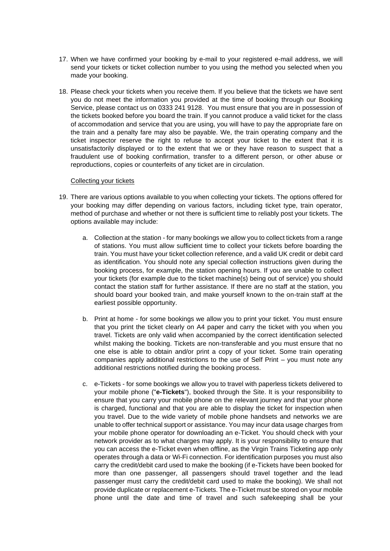- 17. When we have confirmed your booking by e-mail to your registered e-mail address, we will send your tickets or ticket collection number to you using the method you selected when you made your booking.
- 18. Please check your tickets when you receive them. If you believe that the tickets we have sent you do not meet the information you provided at the time of booking through our Booking Service, please contact us on 0333 241 9128. You must ensure that you are in possession of the tickets booked before you board the train. If you cannot produce a valid ticket for the class of accommodation and service that you are using, you will have to pay the appropriate fare on the train and a penalty fare may also be payable. We, the train operating company and the ticket inspector reserve the right to refuse to accept your ticket to the extent that it is unsatisfactorily displayed or to the extent that we or they have reason to suspect that a fraudulent use of booking confirmation, transfer to a different person, or other abuse or reproductions, copies or counterfeits of any ticket are in circulation.

#### Collecting your tickets

- 19. There are various options available to you when collecting your tickets. The options offered for your booking may differ depending on various factors, including ticket type, train operator, method of purchase and whether or not there is sufficient time to reliably post your tickets. The options available may include:
	- a. Collection at the station for many bookings we allow you to collect tickets from a range of stations. You must allow sufficient time to collect your tickets before boarding the train. You must have your ticket collection reference, and a valid UK credit or debit card as identification. You should note any special collection instructions given during the booking process, for example, the station opening hours. If you are unable to collect your tickets (for example due to the ticket machine(s) being out of service) you should contact the station staff for further assistance. If there are no staff at the station, you should board your booked train, and make yourself known to the on-train staff at the earliest possible opportunity.
	- b. Print at home for some bookings we allow you to print your ticket. You must ensure that you print the ticket clearly on A4 paper and carry the ticket with you when you travel. Tickets are only valid when accompanied by the correct identification selected whilst making the booking. Tickets are non-transferable and you must ensure that no one else is able to obtain and/or print a copy of your ticket. Some train operating companies apply additional restrictions to the use of Self Print – you must note any additional restrictions notified during the booking process.
	- c. e-Tickets for some bookings we allow you to travel with paperless tickets delivered to your mobile phone ("**e-Tickets**"), booked through the Site. It is your responsibility to ensure that you carry your mobile phone on the relevant journey and that your phone is charged, functional and that you are able to display the ticket for inspection when you travel. Due to the wide variety of mobile phone handsets and networks we are unable to offer technical support or assistance. You may incur data usage charges from your mobile phone operator for downloading an e-Ticket. You should check with your network provider as to what charges may apply. It is your responsibility to ensure that you can access the e-Ticket even when offline, as the Virgin Trains Ticketing app only operates through a data or Wi-Fi connection. For identification purposes you must also carry the credit/debit card used to make the booking (if e-Tickets have been booked for more than one passenger, all passengers should travel together and the lead passenger must carry the credit/debit card used to make the booking). We shall not provide duplicate or replacement e-Tickets. The e-Ticket must be stored on your mobile phone until the date and time of travel and such safekeeping shall be your